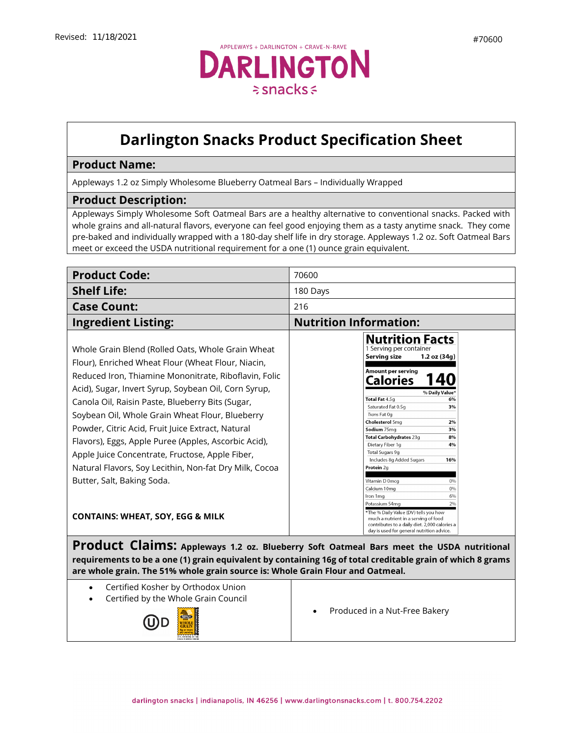## **Darlington Snacks Product Specification Sheet**

## **Product Name:**

Appleways 1.2 oz Simply Wholesome Blueberry Oatmeal Bars – Individually Wrapped

## **Product Description:**

Appleways Simply Wholesome Soft Oatmeal Bars are a healthy alternative to conventional snacks. Packed with whole grains and all-natural flavors, everyone can feel good enjoying them as a tasty anytime snack. They come pre-baked and individually wrapped with a 180-day shelf life in dry storage. Appleways 1.2 oz. Soft Oatmeal Bars meet or exceed the USDA nutritional requirement for a one (1) ounce grain equivalent.

| <b>Product Code:</b>                                                                                                                                                                                                                                                                                                                                                                                                                                                                                                                                                                    | 70600                                                                                                                                                                                                                                                                                                                                                                                                                                                      |
|-----------------------------------------------------------------------------------------------------------------------------------------------------------------------------------------------------------------------------------------------------------------------------------------------------------------------------------------------------------------------------------------------------------------------------------------------------------------------------------------------------------------------------------------------------------------------------------------|------------------------------------------------------------------------------------------------------------------------------------------------------------------------------------------------------------------------------------------------------------------------------------------------------------------------------------------------------------------------------------------------------------------------------------------------------------|
| <b>Shelf Life:</b>                                                                                                                                                                                                                                                                                                                                                                                                                                                                                                                                                                      | 180 Days                                                                                                                                                                                                                                                                                                                                                                                                                                                   |
| <b>Case Count:</b>                                                                                                                                                                                                                                                                                                                                                                                                                                                                                                                                                                      | 216                                                                                                                                                                                                                                                                                                                                                                                                                                                        |
| <b>Ingredient Listing:</b>                                                                                                                                                                                                                                                                                                                                                                                                                                                                                                                                                              | <b>Nutrition Information:</b>                                                                                                                                                                                                                                                                                                                                                                                                                              |
| Whole Grain Blend (Rolled Oats, Whole Grain Wheat<br>Flour), Enriched Wheat Flour (Wheat Flour, Niacin,<br>Reduced Iron, Thiamine Mononitrate, Riboflavin, Folic<br>Acid), Sugar, Invert Syrup, Soybean Oil, Corn Syrup,<br>Canola Oil, Raisin Paste, Blueberry Bits (Sugar,<br>Soybean Oil, Whole Grain Wheat Flour, Blueberry<br>Powder, Citric Acid, Fruit Juice Extract, Natural<br>Flavors), Eggs, Apple Puree (Apples, Ascorbic Acid),<br>Apple Juice Concentrate, Fructose, Apple Fiber,<br>Natural Flavors, Soy Lecithin, Non-fat Dry Milk, Cocoa<br>Butter, Salt, Baking Soda. | <b>Nutrition Facts</b><br>1 Serving per container<br>Serving size<br>$1.2$ oz $(34q)$<br>Amount per serving<br>Calories<br>% Daily Value*<br>Total Fat 4.5g<br>6%<br>Saturated Fat 0.5q<br>3%<br>Trans Fat Og<br>Cholesterol 5mg<br>2%<br>Sodium 75mg<br>3%<br>Total Carbohydrates 23g<br>8%<br>Dietary Fiber 1q<br>4%<br>Total Sugars 9g<br>Includes 8g Added Sugars<br>16%<br>Protein 2g<br>Vitamin D 0mcq<br>0%<br>Calcium 10mg<br>0%<br>Iron 1mg<br>6% |
| <b>CONTAINS: WHEAT, SOY, EGG &amp; MILK</b>                                                                                                                                                                                                                                                                                                                                                                                                                                                                                                                                             | Potassium 54mg<br>2%<br>*The % Daily Value (DV) tells you how<br>much a nutrient in a serving of food<br>contributes to a daily diet. 2,000 calories a<br>day is used for general nutrition advice.                                                                                                                                                                                                                                                        |

**Product Claims: Appleways 1.2 oz. Blueberry Soft Oatmeal Bars meet the USDA nutritional requirements to be a one (1) grain equivalent by containing 16g of total creditable grain of which 8 grams are whole grain. The 51% whole grain source is: Whole Grain Flour and Oatmeal.**

- Certified Kosher by Orthodox Union
- Certified by the Whole Grain Council



• [Produced](https://darlingtonfarms.serverdata.net/Marketing/Product/Internal%20Spec%20Sheets%20DO%20NOT%20USE!/Vending%20Appleways%20Spec%20Sheet%20-%2070120%20-%201%202%20oz%20-%20Apple%20Oatmeal.doc) in a Nut-Free Bakery